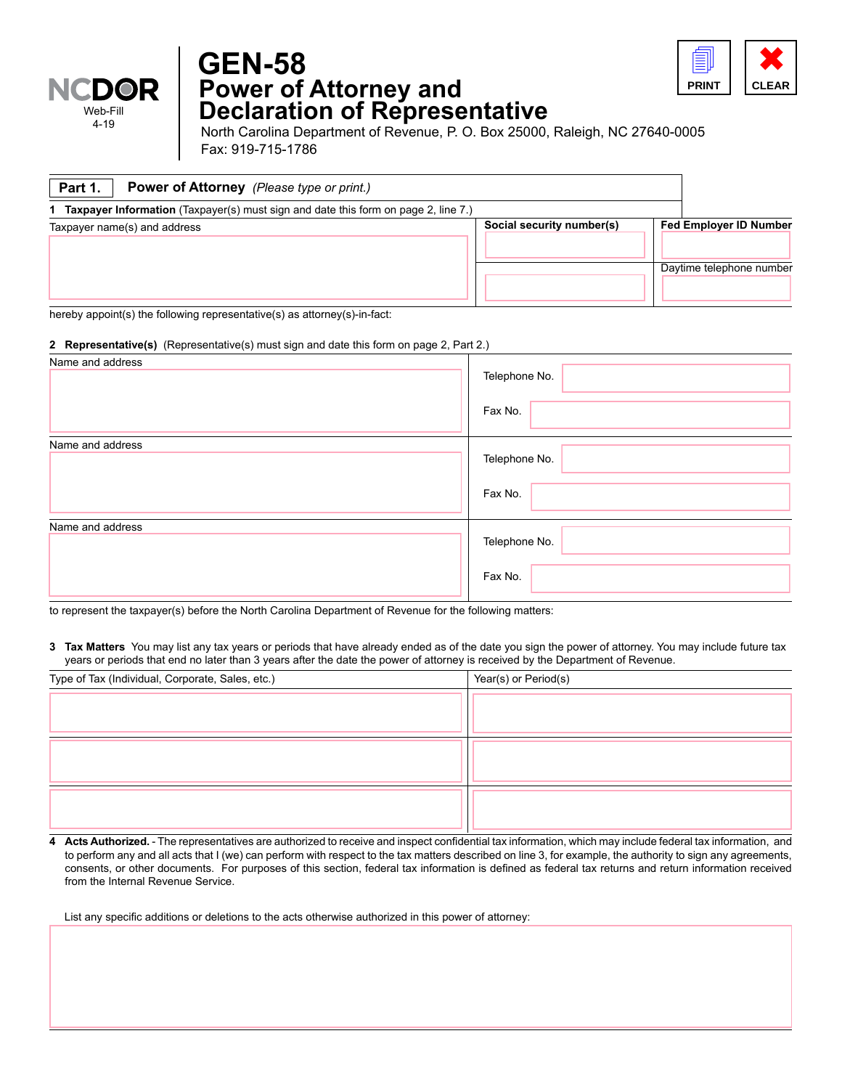

## **Power of Attorney and Declaration of Representative GEN-58**



4-19 North Carolina Department of Revenue, P. O. Box 25000, Raleigh, NC 27640-0005 Fax: 919-715-1786

| <b>Power of Attorney</b> (Please type or print.)<br>Part 1.                          |                           |                               |
|--------------------------------------------------------------------------------------|---------------------------|-------------------------------|
| 1 Taxpayer Information (Taxpayer(s) must sign and date this form on page 2, line 7.) |                           |                               |
| Taxpayer name(s) and address                                                         | Social security number(s) | <b>Fed Employer ID Number</b> |
|                                                                                      |                           | Daytime telephone number      |

hereby appoint(s) the following representative(s) as attorney(s)-in-fact:

## **2 Representative(s)** (Representative(s) must sign and date this form on page 2, Part 2.)

| Name and address | Telephone No.<br>Fax No. |
|------------------|--------------------------|
| Name and address | Telephone No.<br>Fax No. |
| Name and address | Telephone No.<br>Fax No. |

to represent the taxpayer(s) before the North Carolina Department of Revenue for the following matters:

**3 Tax Matters** You may list any tax years or periods that have already ended as of the date you sign the power of attorney. You may include future tax years or periods that end no later than 3 years after the date the power of attorney is received by the Department of Revenue.

| Type of Tax (Individual, Corporate, Sales, etc.) | Year(s) or Period(s) |
|--------------------------------------------------|----------------------|
|                                                  |                      |
|                                                  |                      |
|                                                  |                      |
|                                                  |                      |
|                                                  |                      |
|                                                  |                      |

**4 Acts Authorized.** - The representatives are authorized to receive and inspect confidential tax information, which may include federal tax information, and to perform any and all acts that I (we) can perform with respect to the tax matters described on line 3, for example, the authority to sign any agreements, consents, or other documents. For purposes of this section, federal tax information is defined as federal tax returns and return information received from the Internal Revenue Service.

List any specific additions or deletions to the acts otherwise authorized in this power of attorney: